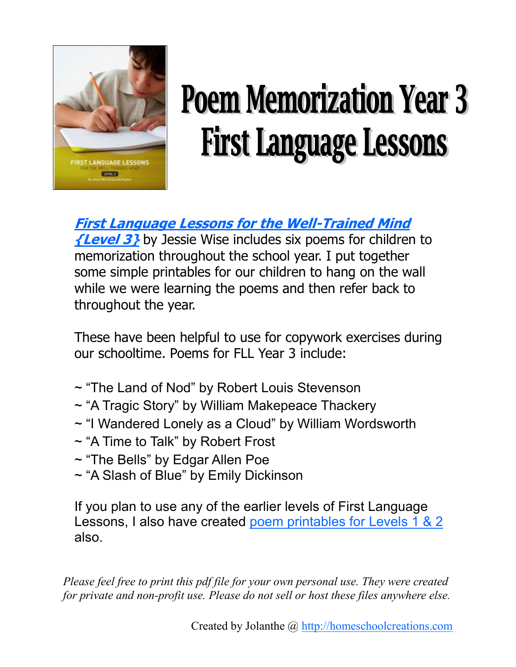

# **Poem Memorization Year 3 First Language Lessons**

**[First Language Lessons for the Well-Trained Mind](http://www.amazon.com/gp/product/1933339071?ie=UTF8&tag=languagewebsite-20&linkCode=as2&camp=1789&creative=9325&creativeASIN=1933339071)** 

**[{Level 3}](http://www.amazon.com/gp/product/1933339071?ie=UTF8&tag=languagewebsite-20&linkCode=as2&camp=1789&creative=9325&creativeASIN=1933339071)** by Jessie Wise includes six poems for children to memorization throughout the school year. I put together some simple printables for our children to hang on the wall while we were learning the poems and then refer back to throughout the year.

These have been helpful to use for copywork exercises during our schooltime. Poems for FLL Year 3 include:

- ~ "The Land of Nod" by Robert Louis Stevenson
- ~ "A Tragic Story" by William Makepeace Thackery
- ~ "I Wandered Lonely as a Cloud" by William Wordsworth
- ~ "A Time to Talk" by Robert Frost
- ~ "The Bells" by Edgar Allen Poe
- ~ "A Slash of Blue" by Emily Dickinson

If you plan to use any of the earlier levels of First Language Lessons, I also have created [poem printables for Levels 1 & 2](http://homeschoolcreations.com/Language.html) also.

*Please feel free to print this pdf file for your own personal use. They were created for private and non-profit use. Please do not sell or host these files anywhere else.*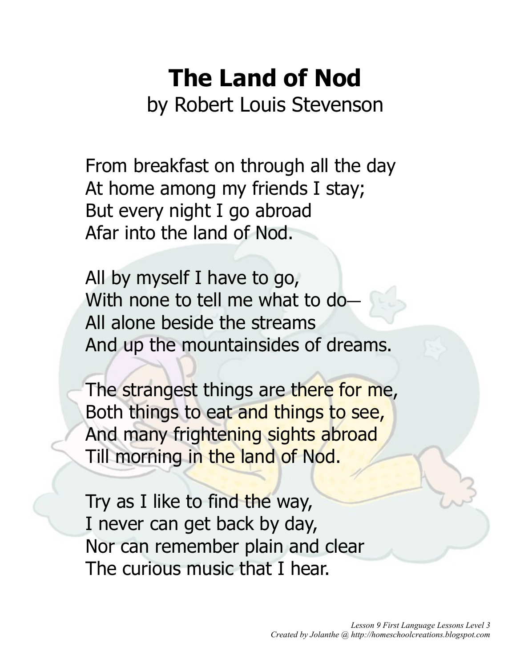## **The Land of Nod**

by Robert Louis Stevenson

From breakfast on through all the day At home among my friends I stay; But every night I go abroad Afar into the land of Nod.

All by myself I have to go, With none to tell me what to do-All alone beside the streams And up the mountainsides of dreams.

The strangest things are there for me, Both things to eat and things to see, And many frightening sights abroad Till morning in the land of Nod.

Try as I like to find the way, I never can get back by day, Nor can remember plain and clear The curious music that I hear.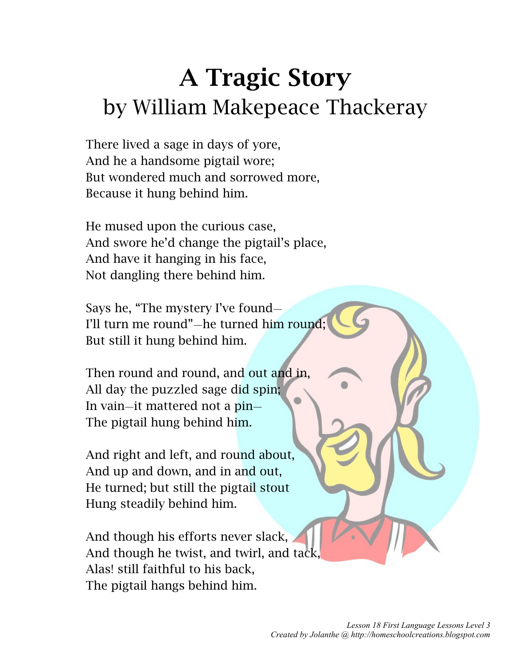### **A Tragic Story** by William Makepeace Thackeray

There lived a sage in days of yore, And he a handsome pigtail wore; But wondered much and sorrowed more, Because it hung behind him.

He mused upon the curious case, And swore he'd change the pigtail's place, And have it hanging in his face, Not dangling there behind him.

Says he, "The mystery I've found— I'll turn me round"—he turned him round; But still it hung behind him.

Then round and round, and out and in, All day the puzzled sage did spin; In vain—it mattered not a pin— The pigtail hung behind him.

And right and left, and round about, And up and down, and in and out, He turned; but still the pigtail stout Hung steadily behind him.

And though his efforts never slack, And though he twist, and twirl, and tack, Alas! still faithful to his back, The pigtail hangs behind him.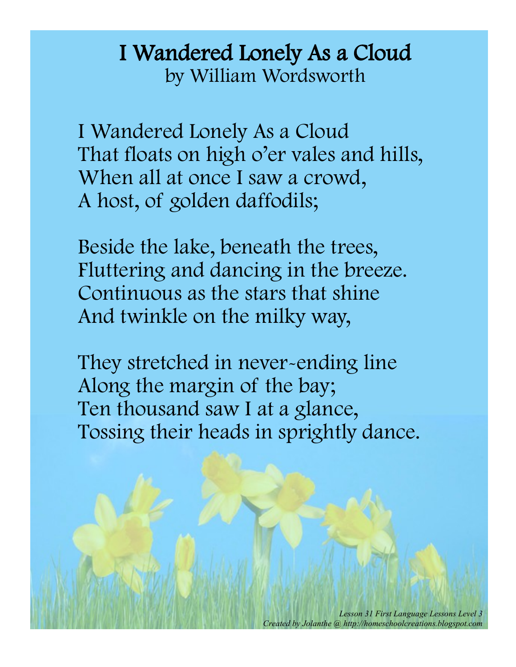#### I Wandered Lonely As a Cloud by William Wordsworth

I Wandered Lonely As a Cloud That floats on high o'er vales and hills, When all at once I saw a crowd, A host, of golden daffodils;

Beside the lake, beneath the trees, Fluttering and dancing in the breeze. Continuous as the stars that shine And twinkle on the milky way,

They stretched in never-ending line Along the margin of the bay; Ten thousand saw I at a glance, Tossing their heads in sprightly dance.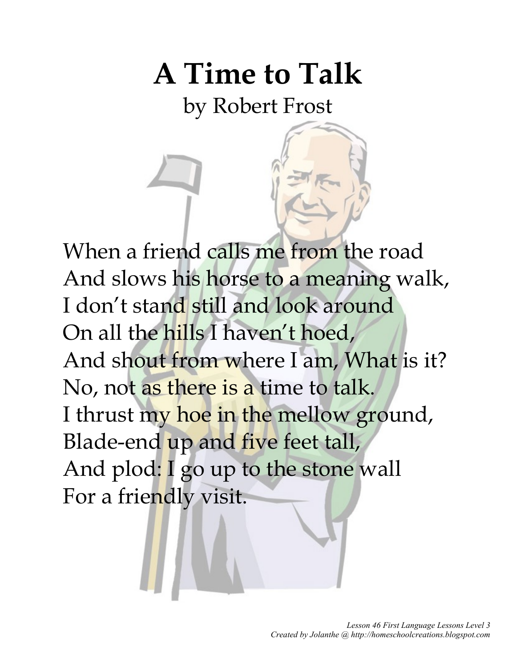## **A Time to Talk**

by Robert Frost

When a friend calls me from the road And slows his horse to a meaning walk, I don't stand still and look around On all the hills I haven't hoed, And shout from where I am, What is it? No, not as there is a time to talk. I thrust my hoe in the mellow ground, Blade-end up and five feet tall, And plod: I go up to the stone wall For a friendly visit.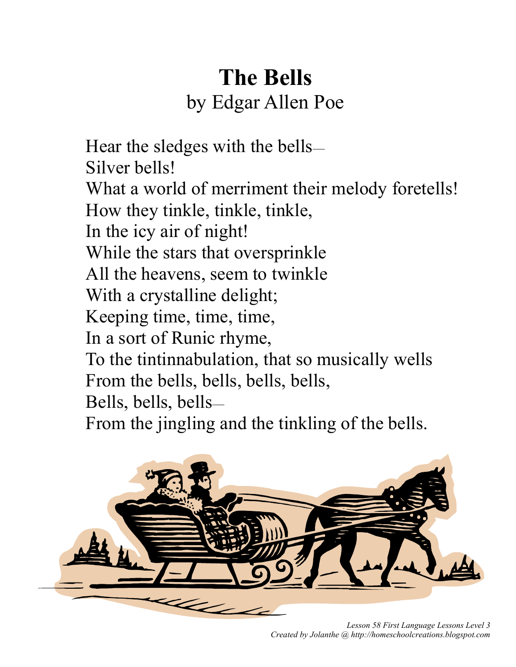### **The Bells** by Edgar Allen Poe

Hear the sledges with the bells— Silver bells! What a world of merriment their melody foretells! How they tinkle, tinkle, tinkle, In the icy air of night! While the stars that oversprinkle All the heavens, seem to twinkle With a crystalline delight; Keeping time, time, time, In a sort of Runic rhyme, To the tintinnabulation, that so musically wells From the bells, bells, bells, bells, Bells, bells, bells— From the jingling and the tinkling of the bells.



*Lesson 58 First Language Lessons Level 3 Created by Jolanthe @ http://homeschoolcreations.blogspot.com*